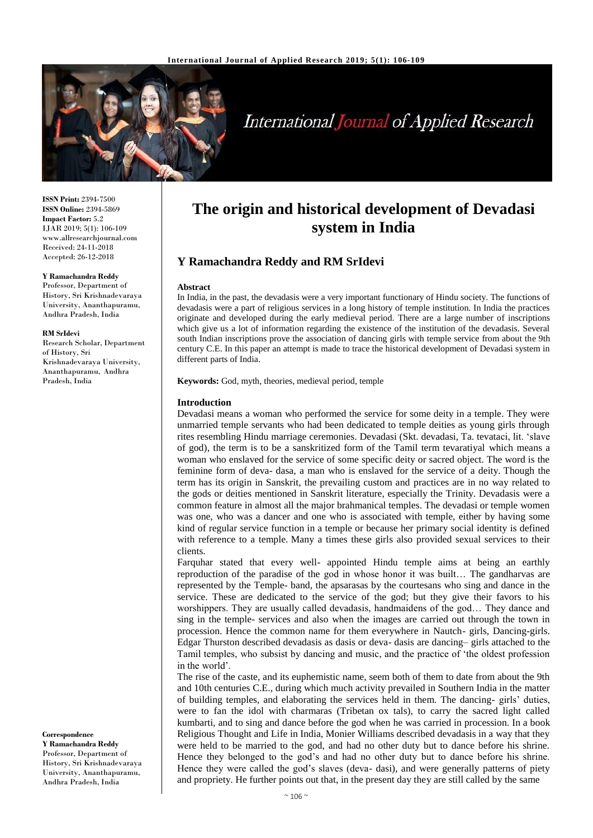

# **International Journal of Applied Research**

**ISSN Print:** 2394-7500 **ISSN Online:** 2394-5869 **Impact Factor:** 5.2 IJAR 2019; 5(1): 106-109 www.allresearchjournal.com Received: 24-11-2018 Accepted: 26-12-2018

#### **Y Ramachandra Reddy**

Professor, Department of History, Sri Krishnadevaraya University, Ananthapuramu, Andhra Pradesh, India

#### **RM SrIdevi**

Research Scholar, Department of History, Sri Krishnadevaraya University, Ananthapuramu, Andhra Pradesh, India

**Correspondence Y Ramachandra Reddy** Professor, Department of History, Sri Krishnadevaraya University, Ananthapuramu, Andhra Pradesh, India

# **The origin and historical development of Devadasi system in India**

# **Y Ramachandra Reddy and RM SrIdevi**

#### **Abstract**

In India, in the past, the devadasis were a very important functionary of Hindu society. The functions of devadasis were a part of religious services in a long history of temple institution. In India the practices originate and developed during the early medieval period. There are a large number of inscriptions which give us a lot of information regarding the existence of the institution of the devadasis. Several south Indian inscriptions prove the association of dancing girls with temple service from about the 9th century C.E. In this paper an attempt is made to trace the historical development of Devadasi system in different parts of India.

**Keywords:** God, myth, theories, medieval period, temple

#### **Introduction**

Devadasi means a woman who performed the service for some deity in a temple. They were unmarried temple servants who had been dedicated to temple deities as young girls through rites resembling Hindu marriage ceremonies. Devadasi (Skt. devadasi, Ta. tevataci, lit. 'slave of god), the term is to be a sanskritized form of the Tamil term tevaratiyal which means a woman who enslaved for the service of some specific deity or sacred object. The word is the feminine form of deva- dasa, a man who is enslaved for the service of a deity. Though the term has its origin in Sanskrit, the prevailing custom and practices are in no way related to the gods or deities mentioned in Sanskrit literature, especially the Trinity. Devadasis were a common feature in almost all the major brahmanical temples. The devadasi or temple women was one, who was a dancer and one who is associated with temple, either by having some kind of regular service function in a temple or because her primary social identity is defined with reference to a temple. Many a times these girls also provided sexual services to their clients.

Farquhar stated that every well- appointed Hindu temple aims at being an earthly reproduction of the paradise of the god in whose honor it was built… The gandharvas are represented by the Temple- band, the apsarasas by the courtesans who sing and dance in the service. These are dedicated to the service of the god; but they give their favors to his worshippers. They are usually called devadasis, handmaidens of the god… They dance and sing in the temple- services and also when the images are carried out through the town in procession. Hence the common name for them everywhere in Nautch- girls, Dancing-girls. Edgar Thurston described devadasis as dasis or deva- dasis are dancing– girls attached to the Tamil temples, who subsist by dancing and music, and the practice of 'the oldest profession in the world'.

The rise of the caste, and its euphemistic name, seem both of them to date from about the 9th and 10th centuries C.E., during which much activity prevailed in Southern India in the matter of building temples, and elaborating the services held in them. The dancing- girls' duties, were to fan the idol with charmaras (Tribetan ox tals), to carry the sacred light called kumbarti, and to sing and dance before the god when he was carried in procession. In a book Religious Thought and Life in India, Monier Williams described devadasis in a way that they were held to be married to the god, and had no other duty but to dance before his shrine. Hence they belonged to the god's and had no other duty but to dance before his shrine. Hence they were called the god's slaves (deva- dasi), and were generally patterns of piety and propriety. He further points out that, in the present day they are still called by the same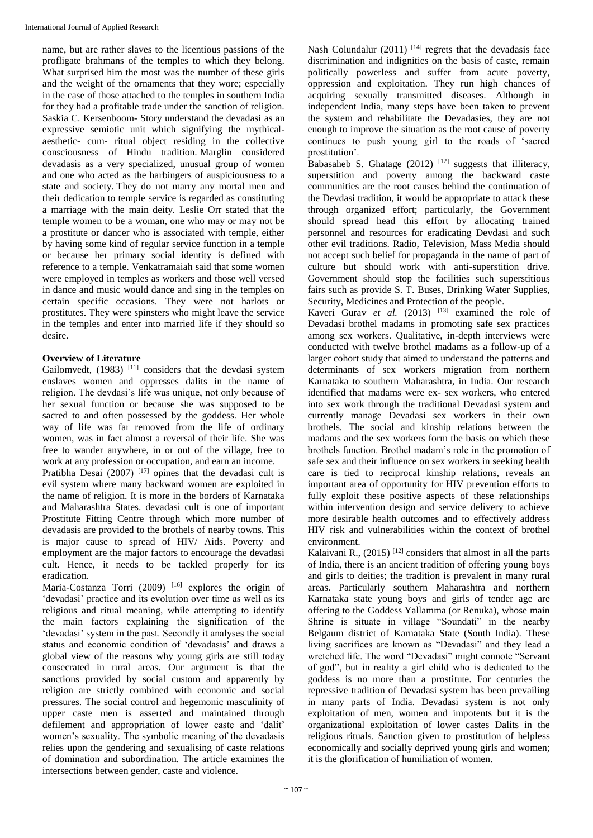name, but are rather slaves to the licentious passions of the profligate brahmans of the temples to which they belong. What surprised him the most was the number of these girls and the weight of the ornaments that they wore; especially in the case of those attached to the temples in southern India for they had a profitable trade under the sanction of religion. Saskia C. Kersenboom- Story understand the devadasi as an expressive semiotic unit which signifying the mythicalaesthetic- cum- ritual object residing in the collective consciousness of Hindu tradition. Marglin considered devadasis as a very specialized, unusual group of women and one who acted as the harbingers of auspiciousness to a state and society. They do not marry any mortal men and their dedication to temple service is regarded as constituting a marriage with the main deity. Leslie Orr stated that the temple women to be a woman, one who may or may not be a prostitute or dancer who is associated with temple, either by having some kind of regular service function in a temple or because her primary social identity is defined with reference to a temple. Venkatramaiah said that some women were employed in temples as workers and those well versed in dance and music would dance and sing in the temples on certain specific occasions. They were not harlots or prostitutes. They were spinsters who might leave the service in the temples and enter into married life if they should so desire.

# **Overview of Literature**

Gailomvedt,  $(1983)$ <sup>[11]</sup> considers that the devdasi system enslaves women and oppresses dalits in the name of religion. The devdasi's life was unique, not only because of her sexual function or because she was supposed to be sacred to and often possessed by the goddess. Her whole way of life was far removed from the life of ordinary women, was in fact almost a reversal of their life. She was free to wander anywhere, in or out of the village, free to work at any profession or occupation, and earn an income.

Pratibha Desai (2007)  $[17]$  opines that the devadasi cult is evil system where many backward women are exploited in the name of religion. It is more in the borders of Karnataka and Maharashtra States. devadasi cult is one of important Prostitute Fitting Centre through which more number of devadasis are provided to the brothels of nearby towns. This is major cause to spread of HIV/ Aids. Poverty and employment are the major factors to encourage the devadasi cult. Hence, it needs to be tackled properly for its eradication.

Maria-Costanza Torri (2009) <sup>[16]</sup> explores the origin of 'devadasi' practice and its evolution over time as well as its religious and ritual meaning, while attempting to identify the main factors explaining the signification of the 'devadasi' system in the past. Secondly it analyses the social status and economic condition of 'devadasis' and draws a global view of the reasons why young girls are still today consecrated in rural areas. Our argument is that the sanctions provided by social custom and apparently by religion are strictly combined with economic and social pressures. The social control and hegemonic masculinity of upper caste men is asserted and maintained through defilement and appropriation of lower caste and 'dalit' women's sexuality. The symbolic meaning of the devadasis relies upon the gendering and sexualising of caste relations of domination and subordination. The article examines the intersections between gender, caste and violence.

Nash Colundalur (2011)  $[14]$  regrets that the devadasis face discrimination and indignities on the basis of caste, remain politically powerless and suffer from acute poverty, oppression and exploitation. They run high chances of acquiring sexually transmitted diseases. Although in independent India, many steps have been taken to prevent the system and rehabilitate the Devadasies, they are not enough to improve the situation as the root cause of poverty continues to push young girl to the roads of 'sacred prostitution'.

Babasaheb S. Ghatage  $(2012)$ <sup>[12]</sup> suggests that illiteracy, superstition and poverty among the backward caste communities are the root causes behind the continuation of the Devdasi tradition, it would be appropriate to attack these through organized effort; particularly, the Government should spread head this effort by allocating trained personnel and resources for eradicating Devdasi and such other evil traditions. Radio, Television, Mass Media should not accept such belief for propaganda in the name of part of culture but should work with anti-superstition drive. Government should stop the facilities such superstitious fairs such as provide S. T. Buses, Drinking Water Supplies, Security, Medicines and Protection of the people.

Kaveri Gurav *et al.* (2013) <sup>[13]</sup> examined the role of Devadasi brothel madams in promoting safe sex practices among sex workers. Qualitative, in-depth interviews were conducted with twelve brothel madams as a follow-up of a larger cohort study that aimed to understand the patterns and determinants of sex workers migration from northern Karnataka to southern Maharashtra, in India. Our research identified that madams were ex- sex workers, who entered into sex work through the traditional Devadasi system and currently manage Devadasi sex workers in their own brothels. The social and kinship relations between the madams and the sex workers form the basis on which these brothels function. Brothel madam's role in the promotion of safe sex and their influence on sex workers in seeking health care is tied to reciprocal kinship relations, reveals an important area of opportunity for HIV prevention efforts to fully exploit these positive aspects of these relationships within intervention design and service delivery to achieve more desirable health outcomes and to effectively address HIV risk and vulnerabilities within the context of brothel environment.

Kalaivani R.,  $(2015)$ <sup>[12]</sup> considers that almost in all the parts of India, there is an ancient tradition of offering young boys and girls to deities; the tradition is prevalent in many rural areas. Particularly southern Maharashtra and northern Karnataka state young boys and girls of tender age are offering to the Goddess Yallamma (or Renuka), whose main Shrine is situate in village "Soundati" in the nearby Belgaum district of Karnataka State (South India). These living sacrifices are known as "Devadasi" and they lead a wretched life. The word "Devadasi" might connote "Servant of god", but in reality a girl child who is dedicated to the goddess is no more than a prostitute. For centuries the repressive tradition of Devadasi system has been prevailing in many parts of India. Devadasi system is not only exploitation of men, women and impotents but it is the organizational exploitation of lower castes Dalits in the religious rituals. Sanction given to prostitution of helpless economically and socially deprived young girls and women; it is the glorification of humiliation of women.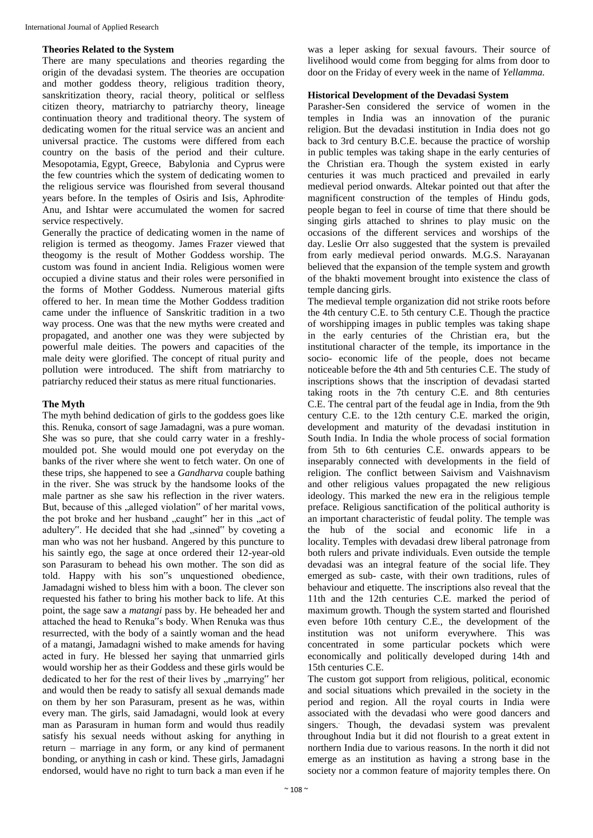### **Theories Related to the System**

There are many speculations and theories regarding the origin of the devadasi system. The theories are occupation and mother goddess theory, religious tradition theory, sanskritization theory, racial theory, political or selfless citizen theory, matriarchy to patriarchy theory, lineage continuation theory and traditional theory. The system of dedicating women for the ritual service was an ancient and universal practice. The customs were differed from each country on the basis of the period and their culture. Mesopotamia, Egypt, Greece, Babylonia and Cyprus were the few countries which the system of dedicating women to the religious service was flourished from several thousand years before. In the temples of Osiris and Isis, Aphrodite, Anu, and Ishtar were accumulated the women for sacred service respectively.

Generally the practice of dedicating women in the name of religion is termed as theogomy. James Frazer viewed that theogomy is the result of Mother Goddess worship. The custom was found in ancient India. Religious women were occupied a divine status and their roles were personified in the forms of Mother Goddess. Numerous material gifts offered to her. In mean time the Mother Goddess tradition came under the influence of Sanskritic tradition in a two way process. One was that the new myths were created and propagated, and another one was they were subjected by powerful male deities. The powers and capacities of the male deity were glorified. The concept of ritual purity and pollution were introduced. The shift from matriarchy to patriarchy reduced their status as mere ritual functionaries.

# **The Myth**

The myth behind dedication of girls to the goddess goes like this. Renuka, consort of sage Jamadagni, was a pure woman. She was so pure, that she could carry water in a freshlymoulded pot. She would mould one pot everyday on the banks of the river where she went to fetch water. On one of these trips, she happened to see a *Gandharva* couple bathing in the river. She was struck by the handsome looks of the male partner as she saw his reflection in the river waters. But, because of this "alleged violation" of her marital vows, the pot broke and her husband "caught" her in this "act of adultery". He decided that she had .sinned" by coveting a man who was not her husband. Angered by this puncture to his saintly ego, the sage at once ordered their 12-year-old son Parasuram to behead his own mother. The son did as told. Happy with his son"s unquestioned obedience, Jamadagni wished to bless him with a boon. The clever son requested his father to bring his mother back to life. At this point, the sage saw a *matangi* pass by. He beheaded her and attached the head to Renuka"s body. When Renuka was thus resurrected, with the body of a saintly woman and the head of a matangi, Jamadagni wished to make amends for having acted in fury. He blessed her saying that unmarried girls would worship her as their Goddess and these girls would be dedicated to her for the rest of their lives by "marrying" her and would then be ready to satisfy all sexual demands made on them by her son Parasuram, present as he was, within every man. The girls, said Jamadagni, would look at every man as Parasuram in human form and would thus readily satisfy his sexual needs without asking for anything in return – marriage in any form, or any kind of permanent bonding, or anything in cash or kind. These girls, Jamadagni endorsed, would have no right to turn back a man even if he

was a leper asking for sexual favours. Their source of livelihood would come from begging for alms from door to door on the Friday of every week in the name of *Yellamma.*

# **Historical Development of the Devadasi System**

Parasher-Sen considered the service of women in the temples in India was an innovation of the puranic religion. But the devadasi institution in India does not go back to 3rd century B.C.E. because the practice of worship in public temples was taking shape in the early centuries of the Christian era. Though the system existed in early centuries it was much practiced and prevailed in early medieval period onwards. Altekar pointed out that after the magnificent construction of the temples of Hindu gods, people began to feel in course of time that there should be singing girls attached to shrines to play music on the occasions of the different services and worships of the day. Leslie Orr also suggested that the system is prevailed from early medieval period onwards. M.G.S. Narayanan believed that the expansion of the temple system and growth of the bhakti movement brought into existence the class of temple dancing girls.

The medieval temple organization did not strike roots before the 4th century C.E. to 5th century C.E. Though the practice of worshipping images in public temples was taking shape in the early centuries of the Christian era, but the institutional character of the temple, its importance in the socio- economic life of the people, does not became noticeable before the 4th and 5th centuries C.E. The study of inscriptions shows that the inscription of devadasi started taking roots in the 7th century C.E. and 8th centuries C.E. The central part of the feudal age in India, from the 9th century C.E. to the 12th century C.E. marked the origin, development and maturity of the devadasi institution in South India. In India the whole process of social formation from 5th to 6th centuries C.E. onwards appears to be inseparably connected with developments in the field of religion. The conflict between Saivism and Vaishnavism and other religious values propagated the new religious ideology. This marked the new era in the religious temple preface. Religious sanctification of the political authority is an important characteristic of feudal polity. The temple was the hub of the social and economic life in a locality. Temples with devadasi drew liberal patronage from both rulers and private individuals. Even outside the temple devadasi was an integral feature of the social life. They emerged as sub- caste, with their own traditions, rules of behaviour and etiquette. The inscriptions also reveal that the 11th and the 12th centuries C.E. marked the period of maximum growth. Though the system started and flourished even before 10th century C.E., the development of the institution was not uniform everywhere. This was concentrated in some particular pockets which were economically and politically developed during 14th and 15th centuries C.E.

The custom got support from religious, political, economic and social situations which prevailed in the society in the period and region. All the royal courts in India were associated with the devadasi who were good dancers and singers.. Though, the devadasi system was prevalent throughout India but it did not flourish to a great extent in northern India due to various reasons. In the north it did not emerge as an institution as having a strong base in the society nor a common feature of majority temples there. On